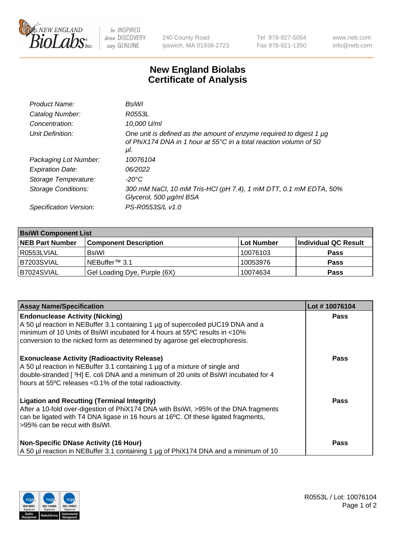

 $be$  INSPIRED drive DISCOVERY stay GENUINE

240 County Road Ipswich, MA 01938-2723 Tel 978-927-5054 Fax 978-921-1350 www.neb.com info@neb.com

## **New England Biolabs Certificate of Analysis**

| Product Name:           | BsiWl                                                                                                                                                     |
|-------------------------|-----------------------------------------------------------------------------------------------------------------------------------------------------------|
| Catalog Number:         | R0553L                                                                                                                                                    |
| Concentration:          | 10,000 U/ml                                                                                                                                               |
| Unit Definition:        | One unit is defined as the amount of enzyme required to digest 1 µg<br>of PhiX174 DNA in 1 hour at $55^{\circ}$ C in a total reaction volumn of 50<br>μl. |
| Packaging Lot Number:   | 10076104                                                                                                                                                  |
| <b>Expiration Date:</b> | 06/2022                                                                                                                                                   |
| Storage Temperature:    | $-20^{\circ}$ C                                                                                                                                           |
| Storage Conditions:     | 300 mM NaCl, 10 mM Tris-HCl (pH 7.4), 1 mM DTT, 0.1 mM EDTA, 50%<br>Glycerol, 500 µg/ml BSA                                                               |
| Specification Version:  | PS-R0553S/L v1.0                                                                                                                                          |

| <b>BsiWI Component List</b> |                              |             |                      |  |  |
|-----------------------------|------------------------------|-------------|----------------------|--|--|
| <b>NEB Part Number</b>      | <b>Component Description</b> | ∣Lot Number | Individual QC Result |  |  |
| R0553LVIAL                  | BsiWl                        | 10076103    | <b>Pass</b>          |  |  |
| B7203SVIAL                  | NEBuffer <sup>™</sup> 3.1    | 10053976    | <b>Pass</b>          |  |  |
| B7024SVIAL                  | Gel Loading Dye, Purple (6X) | 10074634    | <b>Pass</b>          |  |  |

| <b>Assay Name/Specification</b>                                                                                                                                                                                                                                                           | Lot #10076104 |
|-------------------------------------------------------------------------------------------------------------------------------------------------------------------------------------------------------------------------------------------------------------------------------------------|---------------|
| <b>Endonuclease Activity (Nicking)</b><br>A 50 µl reaction in NEBuffer 3.1 containing 1 µg of supercoiled pUC19 DNA and a                                                                                                                                                                 | <b>Pass</b>   |
| minimum of 10 Units of BsiWI incubated for 4 hours at 55°C results in <10%<br>conversion to the nicked form as determined by agarose gel electrophoresis.                                                                                                                                 |               |
| <b>Exonuclease Activity (Radioactivity Release)</b><br>A 50 µl reaction in NEBuffer 3.1 containing 1 µg of a mixture of single and<br>double-stranded [ $3H$ ] E. coli DNA and a minimum of 20 units of BsiWI incubated for 4<br>hours at 55°C releases <0.1% of the total radioactivity. | <b>Pass</b>   |
| <b>Ligation and Recutting (Terminal Integrity)</b><br>After a 10-fold over-digestion of PhiX174 DNA with BsiWI, >95% of the DNA fragments<br>can be ligated with T4 DNA ligase in 16 hours at 16°C. Of these ligated fragments,<br>>95% can be recut with BsiWI.                          | Pass          |
| <b>Non-Specific DNase Activity (16 Hour)</b><br>A 50 µl reaction in NEBuffer 3.1 containing 1 µg of PhiX174 DNA and a minimum of 10                                                                                                                                                       | <b>Pass</b>   |